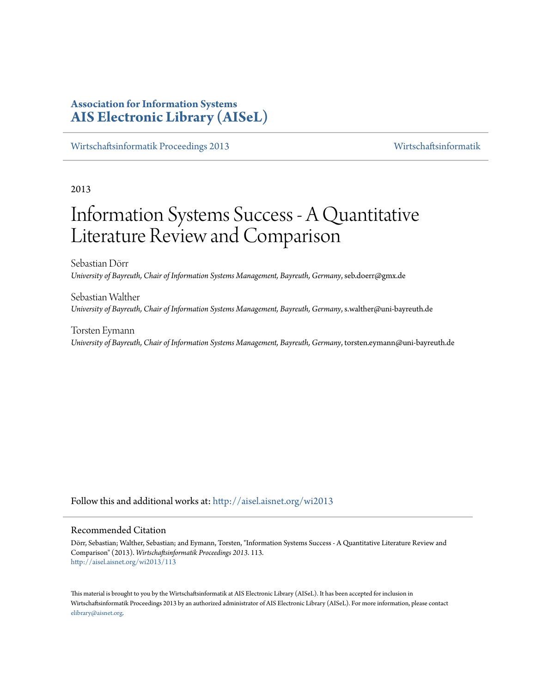# **Association for Information Systems [AIS Electronic Library \(AISeL\)](http://aisel.aisnet.org?utm_source=aisel.aisnet.org%2Fwi2013%2F113&utm_medium=PDF&utm_campaign=PDFCoverPages)**

[Wirtschaftsinformatik Proceedings 2013](http://aisel.aisnet.org/wi2013?utm_source=aisel.aisnet.org%2Fwi2013%2F113&utm_medium=PDF&utm_campaign=PDFCoverPages) [Wirtschaftsinformatik](http://aisel.aisnet.org/wi?utm_source=aisel.aisnet.org%2Fwi2013%2F113&utm_medium=PDF&utm_campaign=PDFCoverPages)

2013

# Information Systems Success - A Quantitative Literature Review and Comparison

Sebastian Dörr *University of Bayreuth, Chair of Information Systems Management, Bayreuth, Germany*, seb.doerr@gmx.de

Sebastian Walther *University of Bayreuth, Chair of Information Systems Management, Bayreuth, Germany*, s.walther@uni-bayreuth.de

Torsten Eymann *University of Bayreuth, Chair of Information Systems Management, Bayreuth, Germany*, torsten.eymann@uni-bayreuth.de

Follow this and additional works at: [http://aisel.aisnet.org/wi2013](http://aisel.aisnet.org/wi2013?utm_source=aisel.aisnet.org%2Fwi2013%2F113&utm_medium=PDF&utm_campaign=PDFCoverPages)

## Recommended Citation

Dörr, Sebastian; Walther, Sebastian; and Eymann, Torsten, "Information Systems Success - A Quantitative Literature Review and Comparison" (2013). *Wirtschaftsinformatik Proceedings 2013*. 113. [http://aisel.aisnet.org/wi2013/113](http://aisel.aisnet.org/wi2013/113?utm_source=aisel.aisnet.org%2Fwi2013%2F113&utm_medium=PDF&utm_campaign=PDFCoverPages)

This material is brought to you by the Wirtschaftsinformatik at AIS Electronic Library (AISeL). It has been accepted for inclusion in Wirtschaftsinformatik Proceedings 2013 by an authorized administrator of AIS Electronic Library (AISeL). For more information, please contact [elibrary@aisnet.org.](mailto:elibrary@aisnet.org%3E)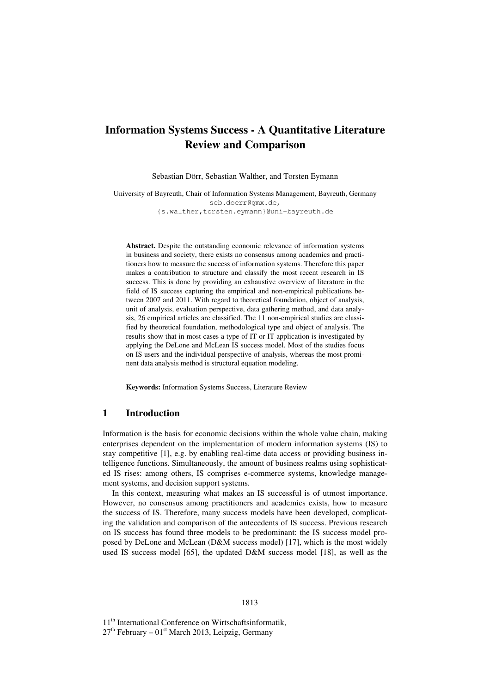# **Information Systems Success - A Quantitative Literature Review and Comparison**

Sebastian Dörr, Sebastian Walther, and Torsten Eymann

University of Bayreuth, Chair of Information Systems Management, Bayreuth, Germany seb.doerr@gmx.de, {s.walther,torsten.eymann}@uni-bayreuth.de

**Abstract.** Despite the outstanding economic relevance of information systems in business and society, there exists no consensus among academics and practitioners how to measure the success of information systems. Therefore this paper makes a contribution to structure and classify the most recent research in IS success. This is done by providing an exhaustive overview of literature in the field of IS success capturing the empirical and non-empirical publications between 2007 and 2011. With regard to theoretical foundation, object of analysis, unit of analysis, evaluation perspective, data gathering method, and data analysis, 26 empirical articles are classified. The 11 non-empirical studies are classified by theoretical foundation, methodological type and object of analysis. The results show that in most cases a type of IT or IT application is investigated by applying the DeLone and McLean IS success model. Most of the studies focus on IS users and the individual perspective of analysis, whereas the most prominent data analysis method is structural equation modeling.

**Keywords:** Information Systems Success, Literature Review

## **1 Introduction**

Information is the basis for economic decisions within the whole value chain, making enterprises dependent on the implementation of modern information systems (IS) to stay competitive [1], e.g. by enabling real-time data access or providing business intelligence functions. Simultaneously, the amount of business realms using sophisticated IS rises: among others, IS comprises e-commerce systems, knowledge management systems, and decision support systems.

In this context, measuring what makes an IS successful is of utmost importance. However, no consensus among practitioners and academics exists, how to measure the success of IS. Therefore, many success models have been developed, complicating the validation and comparison of the antecedents of IS success. Previous research on IS success has found three models to be predominant: the IS success model proposed by DeLone and McLean (D&M success model) [17], which is the most widely used IS success model [65], the updated D&M success model [18], as well as the

11<sup>th</sup> International Conference on Wirtschaftsinformatik,  $27<sup>th</sup>$  February –  $01<sup>st</sup>$  March 2013, Leipzig, Germany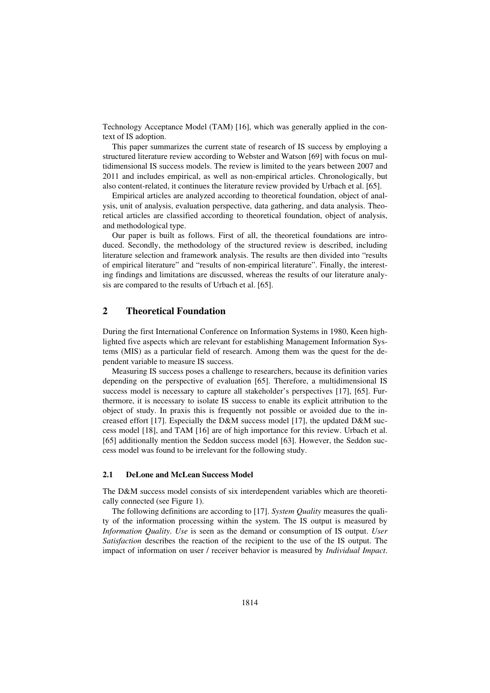Technology Acceptance Model (TAM) [16], which was generally applied in the context of IS adoption.

This paper summarizes the current state of research of IS success by employing a structured literature review according to Webster and Watson [69] with focus on multidimensional IS success models. The review is limited to the years between 2007 and 2011 and includes empirical, as well as non-empirical articles. Chronologically, but also content-related, it continues the literature review provided by Urbach et al. [65].

Empirical articles are analyzed according to theoretical foundation, object of analysis, unit of analysis, evaluation perspective, data gathering, and data analysis. Theoretical articles are classified according to theoretical foundation, object of analysis, and methodological type.

Our paper is built as follows. First of all, the theoretical foundations are introduced. Secondly, the methodology of the structured review is described, including literature selection and framework analysis. The results are then divided into "results of empirical literature" and "results of non-empirical literature". Finally, the interesting findings and limitations are discussed, whereas the results of our literature analysis are compared to the results of Urbach et al. [65].

## **2 Theoretical Foundation**

During the first International Conference on Information Systems in 1980, Keen highlighted five aspects which are relevant for establishing Management Information Systems (MIS) as a particular field of research. Among them was the quest for the dependent variable to measure IS success.

Measuring IS success poses a challenge to researchers, because its definition varies depending on the perspective of evaluation [65]. Therefore, a multidimensional IS success model is necessary to capture all stakeholder's perspectives [17], [65]. Furthermore, it is necessary to isolate IS success to enable its explicit attribution to the object of study. In praxis this is frequently not possible or avoided due to the increased effort [17]. Especially the D&M success model [17], the updated D&M success model [18], and TAM [16] are of high importance for this review. Urbach et al. [65] additionally mention the Seddon success model [63]. However, the Seddon success model was found to be irrelevant for the following study.

## **2.1 DeLone and McLean Success Model**

The D&M success model consists of six interdependent variables which are theoretically connected (see Figure 1).

The following definitions are according to [17]. *System Quality* measures the quality of the information processing within the system. The IS output is measured by *Information Quality*. *Use* is seen as the demand or consumption of IS output. *User Satisfaction* describes the reaction of the recipient to the use of the IS output. The impact of information on user / receiver behavior is measured by *Individual Impact*.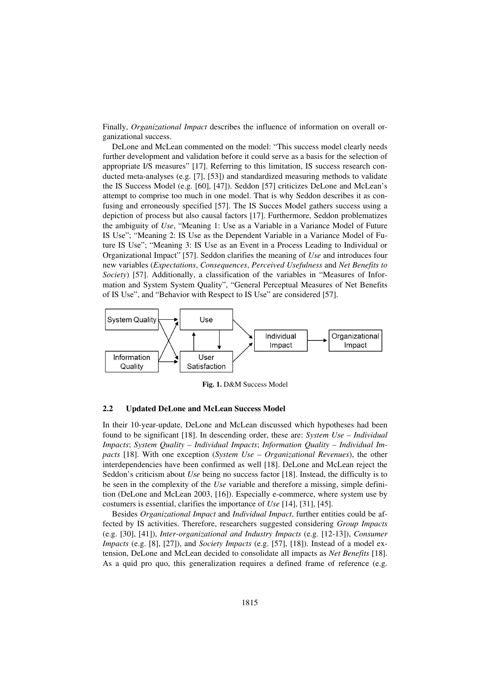Finally, *Organizational Impact* describes the influence of information on overall organizational success.

DeLone and McLean commented on the model: "This success model clearly needs further development and validation before it could serve as a basis for the selection of appropriate I/S measures" [17]. Referring to this limitation, IS success research conducted meta-analyses (e.g. [7], [53]) and standardized measuring methods to validate the IS Success Model (e.g. [60], [47]). Seddon [57] criticizes DeLone and McLean's attempt to comprise too much in one model. That is why Seddon describes it as confusing and erroneously specified [57]. The IS Succes Model gathers success using a depiction of process but also causal factors [17]. Furthermore, Seddon problematizes the ambiguity of *Use*, "Meaning 1: Use as a Variable in a Variance Model of Future IS Use"; "Meaning 2: IS Use as the Dependent Variable in a Variance Model of Future IS Use"; "Meaning 3: IS Use as an Event in a Process Leading to Individual or Organizational Impact" [57]. Seddon clarifies the meaning of *Use* and introduces four new variables (*Expectations*, *Consequences*, *Perceived Usefulness* and *Net Benefits to Society*) [57]. Additionally, a classification of the variables in "Measures of Information and System System Quality", "General Perceptual Measures of Net Benefits of IS Use", and "Behavior with Respect to IS Use" are considered [57].



**Fig. 1.** D&M Success Model

#### **2.2 Updated DeLone and McLean Success Model**

In their 10-year-update, DeLone and McLean discussed which hypotheses had been found to be significant [18]. In descending order, these are: *System Use – Individual Impacts*; *System Quality – Individual Impacts*; *Information Quality – Individual Impacts* [18]. With one exception (*System Use – Organizational Revenues*), the other interdependencies have been confirmed as well [18]. DeLone and McLean reject the Seddon's criticism about *Use* being no success factor [18]. Instead, the difficulty is to be seen in the complexity of the *Use* variable and therefore a missing, simple definition (DeLone and McLean 2003, [16]). Especially e-commerce, where system use by costumers is essential, clarifies the importance of *Use* [14], [31], [45].

Besides *Organizational Impact* and *Individual Impact*, further entities could be affected by IS activities. Therefore, researchers suggested considering *Group Impacts*  (e.g. [30], [41]), *Inter-organizational and Industry Impacts* (e.g. [12-13]), *Consumer Impacts* (e.g. [8], [27]), and *Society Impacts* (e.g. [57], [18]). Instead of a model extension, DeLone and McLean decided to consolidate all impacts as *Net Benefits* [18]. As a quid pro quo, this generalization requires a defined frame of reference (e.g.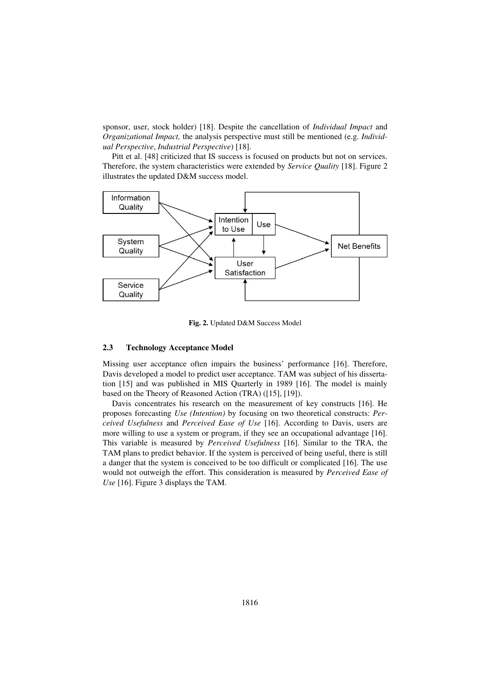sponsor, user, stock holder) [18]. Despite the cancellation of *Individual Impact* and *Organizational Impact,* the analysis perspective must still be mentioned (e.g. *Individual Perspective*, *Industrial Perspective*) [18].

Pitt et al. [48] criticized that IS success is focused on products but not on services. Therefore, the system characteristics were extended by *Service Quality* [18]. Figure 2 illustrates the updated D&M success model.



**Fig. 2.** Updated D&M Success Model

### **2.3 Technology Acceptance Model**

Missing user acceptance often impairs the business' performance [16]. Therefore, Davis developed a model to predict user acceptance. TAM was subject of his dissertation [15] and was published in MIS Quarterly in 1989 [16]. The model is mainly based on the Theory of Reasoned Action (TRA) ([15], [19]).

Davis concentrates his research on the measurement of key constructs [16]. He proposes forecasting *Use (Intention)* by focusing on two theoretical constructs: *Perceived Usefulness* and *Perceived Ease of Use* [16]. According to Davis, users are more willing to use a system or program, if they see an occupational advantage [16]. This variable is measured by *Perceived Usefulness* [16]. Similar to the TRA, the TAM plans to predict behavior. If the system is perceived of being useful, there is still a danger that the system is conceived to be too difficult or complicated [16]. The use would not outweigh the effort. This consideration is measured by *Perceived Ease of Use* [16]. Figure 3 displays the TAM.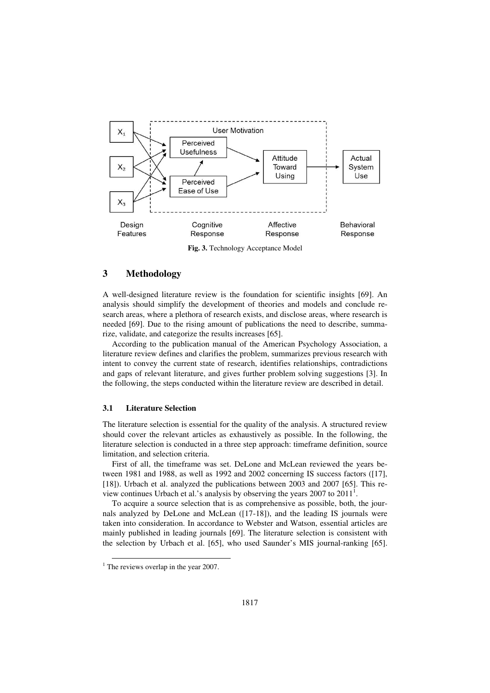

**Fig. 3.** Technology Acceptance Model

## **3 Methodology**

A well-designed literature review is the foundation for scientific insights [69]. An analysis should simplify the development of theories and models and conclude research areas, where a plethora of research exists, and disclose areas, where research is needed [69]. Due to the rising amount of publications the need to describe, summarize, validate, and categorize the results increases [65].

According to the publication manual of the American Psychology Association, a literature review defines and clarifies the problem, summarizes previous research with intent to convey the current state of research, identifies relationships, contradictions and gaps of relevant literature, and gives further problem solving suggestions [3]. In the following, the steps conducted within the literature review are described in detail.

#### **3.1 Literature Selection**

The literature selection is essential for the quality of the analysis. A structured review should cover the relevant articles as exhaustively as possible. In the following, the literature selection is conducted in a three step approach: timeframe definition, source limitation, and selection criteria.

First of all, the timeframe was set. DeLone and McLean reviewed the years between 1981 and 1988, as well as 1992 and 2002 concerning IS success factors ([17], [18]). Urbach et al. analyzed the publications between 2003 and 2007 [65]. This review continues Urbach et al.'s analysis by observing the years  $2007$  to  $2011<sup>1</sup>$ .

To acquire a source selection that is as comprehensive as possible, both, the journals analyzed by DeLone and McLean ([17-18]), and the leading IS journals were taken into consideration. In accordance to Webster and Watson, essential articles are mainly published in leading journals [69]. The literature selection is consistent with the selection by Urbach et al. [65], who used Saunder's MIS journal-ranking [65].

l

<sup>&</sup>lt;sup>1</sup> The reviews overlap in the year 2007.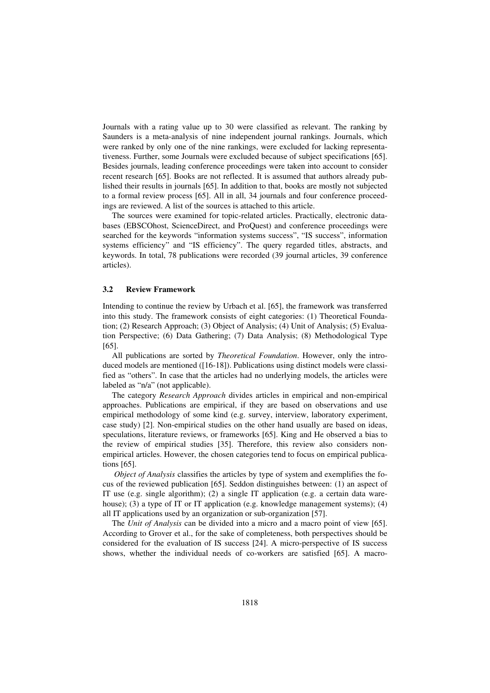Journals with a rating value up to 30 were classified as relevant. The ranking by Saunders is a meta-analysis of nine independent journal rankings. Journals, which were ranked by only one of the nine rankings, were excluded for lacking representativeness. Further, some Journals were excluded because of subject specifications [65]. Besides journals, leading conference proceedings were taken into account to consider recent research [65]. Books are not reflected. It is assumed that authors already published their results in journals [65]. In addition to that, books are mostly not subjected to a formal review process [65]. All in all, 34 journals and four conference proceedings are reviewed. A list of the sources is attached to this article.

The sources were examined for topic-related articles. Practically, electronic databases (EBSCOhost, ScienceDirect, and ProQuest) and conference proceedings were searched for the keywords "information systems success", "IS success", information systems efficiency" and "IS efficiency". The query regarded titles, abstracts, and keywords. In total, 78 publications were recorded (39 journal articles, 39 conference articles).

#### **3.2 Review Framework**

Intending to continue the review by Urbach et al. [65], the framework was transferred into this study. The framework consists of eight categories: (1) Theoretical Foundation; (2) Research Approach; (3) Object of Analysis; (4) Unit of Analysis; (5) Evaluation Perspective; (6) Data Gathering; (7) Data Analysis; (8) Methodological Type [65].

All publications are sorted by *Theoretical Foundation*. However, only the introduced models are mentioned ([16-18]). Publications using distinct models were classified as "others". In case that the articles had no underlying models, the articles were labeled as "n/a" (not applicable).

The category *Research Approach* divides articles in empirical and non-empirical approaches. Publications are empirical, if they are based on observations and use empirical methodology of some kind (e.g. survey, interview, laboratory experiment, case study) [2]. Non-empirical studies on the other hand usually are based on ideas, speculations, literature reviews, or frameworks [65]. King and He observed a bias to the review of empirical studies [35]. Therefore, this review also considers nonempirical articles. However, the chosen categories tend to focus on empirical publications [65].

*Object of Analysis* classifies the articles by type of system and exemplifies the focus of the reviewed publication [65]. Seddon distinguishes between: (1) an aspect of IT use (e.g. single algorithm); (2) a single IT application (e.g. a certain data warehouse); (3) a type of IT or IT application (e.g. knowledge management systems); (4) all IT applications used by an organization or sub-organization [57].

The *Unit of Analysis* can be divided into a micro and a macro point of view [65]. According to Grover et al., for the sake of completeness, both perspectives should be considered for the evaluation of IS success [24]. A micro-perspective of IS success shows, whether the individual needs of co-workers are satisfied [65]. A macro-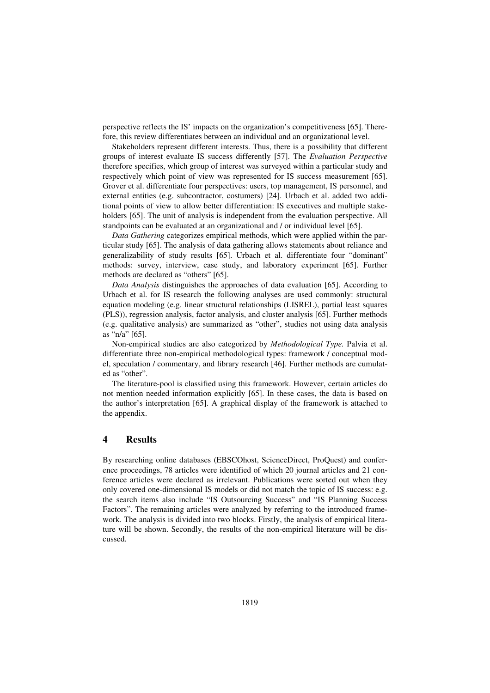perspective reflects the IS' impacts on the organization's competitiveness [65]. Therefore, this review differentiates between an individual and an organizational level.

Stakeholders represent different interests. Thus, there is a possibility that different groups of interest evaluate IS success differently [57]. The *Evaluation Perspective*  therefore specifies, which group of interest was surveyed within a particular study and respectively which point of view was represented for IS success measurement [65]. Grover et al. differentiate four perspectives: users, top management, IS personnel, and external entities (e.g. subcontractor, costumers) [24]. Urbach et al. added two additional points of view to allow better differentiation: IS executives and multiple stakeholders [65]. The unit of analysis is independent from the evaluation perspective. All standpoints can be evaluated at an organizational and / or individual level [65].

*Data Gathering* categorizes empirical methods, which were applied within the particular study [65]. The analysis of data gathering allows statements about reliance and generalizability of study results [65]. Urbach et al. differentiate four "dominant" methods: survey, interview, case study, and laboratory experiment [65]. Further methods are declared as "others" [65].

*Data Analysis* distinguishes the approaches of data evaluation [65]. According to Urbach et al. for IS research the following analyses are used commonly: structural equation modeling (e.g. linear structural relationships (LISREL), partial least squares (PLS)), regression analysis, factor analysis, and cluster analysis [65]. Further methods (e.g. qualitative analysis) are summarized as "other", studies not using data analysis as "n/a" [65].

Non-empirical studies are also categorized by *Methodological Type.* Palvia et al. differentiate three non-empirical methodological types: framework / conceptual model, speculation / commentary, and library research [46]. Further methods are cumulated as "other".

The literature-pool is classified using this framework. However, certain articles do not mention needed information explicitly [65]. In these cases, the data is based on the author's interpretation [65]. A graphical display of the framework is attached to the appendix.

## **4 Results**

By researching online databases (EBSCOhost, ScienceDirect, ProQuest) and conference proceedings, 78 articles were identified of which 20 journal articles and 21 conference articles were declared as irrelevant. Publications were sorted out when they only covered one-dimensional IS models or did not match the topic of IS success: e.g. the search items also include "IS Outsourcing Success" and "IS Planning Success Factors". The remaining articles were analyzed by referring to the introduced framework. The analysis is divided into two blocks. Firstly, the analysis of empirical literature will be shown. Secondly, the results of the non-empirical literature will be discussed.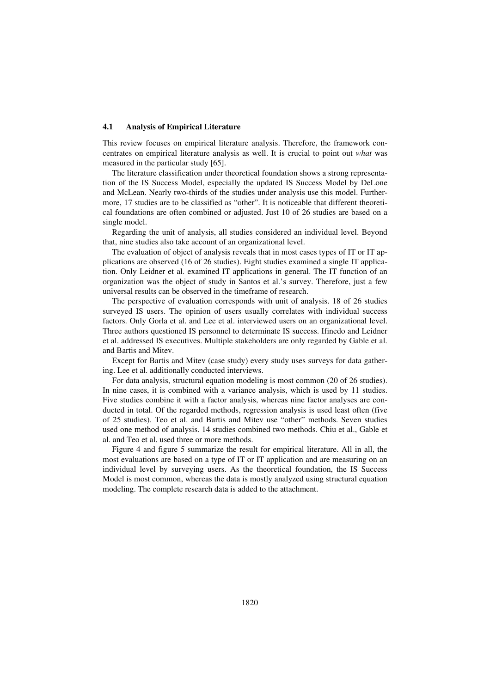#### **4.1 Analysis of Empirical Literature**

This review focuses on empirical literature analysis. Therefore, the framework concentrates on empirical literature analysis as well. It is crucial to point out *what* was measured in the particular study [65].

The literature classification under theoretical foundation shows a strong representation of the IS Success Model, especially the updated IS Success Model by DeLone and McLean. Nearly two-thirds of the studies under analysis use this model. Furthermore, 17 studies are to be classified as "other". It is noticeable that different theoretical foundations are often combined or adjusted. Just 10 of 26 studies are based on a single model.

Regarding the unit of analysis, all studies considered an individual level. Beyond that, nine studies also take account of an organizational level.

The evaluation of object of analysis reveals that in most cases types of IT or IT applications are observed (16 of 26 studies). Eight studies examined a single IT application. Only Leidner et al. examined IT applications in general. The IT function of an organization was the object of study in Santos et al.'s survey. Therefore, just a few universal results can be observed in the timeframe of research.

The perspective of evaluation corresponds with unit of analysis. 18 of 26 studies surveyed IS users. The opinion of users usually correlates with individual success factors. Only Gorla et al. and Lee et al. interviewed users on an organizational level. Three authors questioned IS personnel to determinate IS success. Ifinedo and Leidner et al. addressed IS executives. Multiple stakeholders are only regarded by Gable et al. and Bartis and Mitev.

Except for Bartis and Mitev (case study) every study uses surveys for data gathering. Lee et al. additionally conducted interviews.

For data analysis, structural equation modeling is most common (20 of 26 studies). In nine cases, it is combined with a variance analysis, which is used by 11 studies. Five studies combine it with a factor analysis, whereas nine factor analyses are conducted in total. Of the regarded methods, regression analysis is used least often (five of 25 studies). Teo et al. and Bartis and Mitev use "other" methods. Seven studies used one method of analysis. 14 studies combined two methods. Chiu et al., Gable et al. and Teo et al. used three or more methods.

Figure 4 and figure 5 summarize the result for empirical literature. All in all, the most evaluations are based on a type of IT or IT application and are measuring on an individual level by surveying users. As the theoretical foundation, the IS Success Model is most common, whereas the data is mostly analyzed using structural equation modeling. The complete research data is added to the attachment.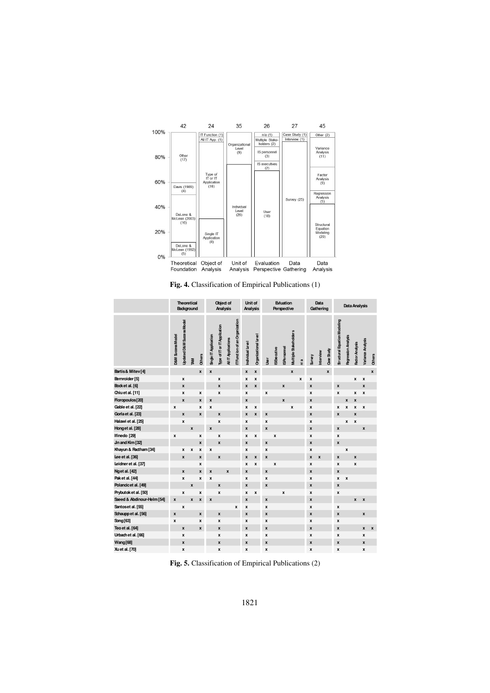

**Fig. 4.** Classification of Empirical Publications (1)

|                            | <b>Theoretical</b><br>Background |                                      |                    |                    | Object of<br>Analysis |                              |                     |                              |                    | Unit of<br>Analysis  | <b>Evluation</b><br>Perspective |                   |                    |                       | Data<br>Gathering  |              |                    | Data Analysis      |                                     |                            |                    |                          |                    |
|----------------------------|----------------------------------|--------------------------------------|--------------------|--------------------|-----------------------|------------------------------|---------------------|------------------------------|--------------------|----------------------|---------------------------------|-------------------|--------------------|-----------------------|--------------------|--------------|--------------------|--------------------|-------------------------------------|----------------------------|--------------------|--------------------------|--------------------|
|                            | <b>D&amp;M Success Model</b>     | <b>Updated D&amp;M SLocess Model</b> | <b>TAM</b>         | Others             | Single IT Application | Type of IT or IT Application | All IT Applications | TFunction of an Organization | Individual Level   | Organizational Level | <u>İsa</u>                      | <b>SExecutive</b> | SPersonnel         | Multiple Stakeholders | n⁄ a               | Survey       | merview            | Case Study         | <b>Structural Equation Modeling</b> | <b>Regression Analysis</b> | Factor Analysis    | <b>Variance Analysis</b> | Others             |
| Bartis & Mitev [4]         |                                  |                                      |                    | $\mathbf{x}$       | $\pmb{\mathsf{x}}$    |                              |                     |                              | $\pmb{\mathsf{x}}$ | x                    |                                 |                   |                    | $\mathbf{x}$          |                    |              |                    | $\pmb{\mathsf{x}}$ |                                     |                            |                    |                          | $\pmb{\mathsf{x}}$ |
| Bernroider [5]             |                                  | x                                    |                    |                    |                       | X                            |                     |                              | X                  | X                    |                                 |                   |                    |                       | $\pmb{\mathsf{x}}$ | X            |                    |                    |                                     |                            | X                  | x                        |                    |
| Bock et al. [6]            |                                  | $\mathbf{x}$                         |                    |                    |                       | $\mathbf{x}$                 |                     |                              | x                  | X                    |                                 |                   | $\mathbf{x}$       |                       |                    | $\mathbf{x}$ |                    |                    | x                                   |                            |                    | $\mathbf{x}$             |                    |
| Chiuet al. [11]            |                                  | x                                    |                    | x                  |                       | x                            |                     |                              | $\boldsymbol{x}$   |                      | x                               |                   |                    |                       |                    | x            |                    |                    | x                                   |                            | x                  | x                        |                    |
| Floropoulos[20]            |                                  | $\pmb{\mathsf{x}}$                   |                    | $\boldsymbol{x}$   | $\pmb{\mathsf{x}}$    |                              |                     |                              | $\pmb{\mathsf{x}}$ |                      |                                 |                   | $\pmb{\mathsf{x}}$ |                       |                    | x            |                    |                    |                                     | x                          | X                  |                          |                    |
| Gable et al. [22]          | $\boldsymbol{x}$                 |                                      |                    | $\boldsymbol{x}$   | x                     |                              |                     |                              | x                  | X                    |                                 |                   |                    | $\boldsymbol{x}$      |                    | X            |                    |                    | x                                   | x                          | X                  | x                        |                    |
| Gorla et al. [23]          |                                  | $\pmb{\mathsf{x}}$                   |                    | $\boldsymbol{x}$   |                       | X                            |                     |                              | x                  | X                    | $\pmb{\mathsf{x}}$              |                   |                    |                       |                    | x            |                    |                    | X                                   |                            | x                  |                          |                    |
| Halawi et al. [25]         |                                  | x                                    |                    |                    |                       | x                            |                     |                              | $\boldsymbol{x}$   |                      | x                               |                   |                    |                       |                    | x            |                    |                    |                                     | x                          | x                  |                          |                    |
| Honget al. [28]            |                                  |                                      | $\pmb{\mathsf{x}}$ |                    | x                     |                              |                     |                              | x                  |                      | x                               |                   |                    |                       |                    | x            |                    |                    | x                                   |                            |                    | $\pmb{\mathsf{x}}$       |                    |
| Ifinedo [29]               | $\boldsymbol{x}$                 |                                      |                    | $\boldsymbol{x}$   |                       | x                            |                     |                              | x                  | x                    |                                 | x                 |                    |                       |                    | x            |                    |                    | x                                   |                            |                    |                          |                    |
| Jin and Kim [32]           |                                  |                                      |                    | $\boldsymbol{x}$   |                       | X                            |                     |                              | $\mathbf{x}$       |                      | $\mathbf{x}$                    |                   |                    |                       |                    | x            |                    |                    | x                                   |                            |                    |                          |                    |
| Khayun & Ractham [34]      |                                  | x                                    | x                  | x                  | X                     |                              |                     |                              | x                  |                      | x                               |                   |                    |                       |                    | x            |                    |                    |                                     | $\pmb{\mathsf{x}}$         |                    |                          |                    |
| Lee et al. [36]            |                                  | $\pmb{\mathsf{x}}$                   |                    | $\pmb{\mathsf{x}}$ |                       | X                            |                     |                              | $\pmb{\mathsf{x}}$ | X                    | $\pmb{\mathsf{x}}$              |                   |                    |                       |                    | x            | $\pmb{\mathsf{x}}$ |                    | x                                   |                            | $\pmb{\mathsf{x}}$ |                          |                    |
| Leidner et al. [37]        |                                  |                                      |                    | $\pmb{\mathsf{x}}$ |                       |                              |                     |                              | X                  | X                    |                                 | X                 |                    |                       |                    | X            |                    |                    | x                                   |                            | x                  |                          |                    |
| Nget al. [42]              |                                  | $\mathbf{x}$                         |                    | x                  | $\mathbf{x}$          |                              | $\mathbf{x}$        |                              | $\mathbf{x}$       |                      | $\mathbf{x}$                    |                   |                    |                       |                    | $\mathbf{x}$ |                    |                    | x                                   |                            |                    |                          |                    |
| Pak et al. [44]            |                                  | $\mathbf{x}$                         |                    | x                  | x                     |                              |                     |                              | x                  |                      | $\mathbf{x}$                    |                   |                    |                       |                    | x            |                    |                    | x                                   | $\boldsymbol{x}$           |                    |                          |                    |
| Polancicet al. [49]        |                                  |                                      | $\pmb{\mathsf{x}}$ |                    |                       | X                            |                     |                              | $\pmb{\mathsf{x}}$ |                      | x                               |                   |                    |                       |                    | x            |                    |                    | x                                   |                            |                    |                          |                    |
| Prybutok et al. [50]       |                                  | x                                    |                    | x                  |                       | X                            |                     |                              | x                  | x                    |                                 |                   | x                  |                       |                    | x            |                    |                    | x                                   |                            |                    |                          |                    |
| Saeed & Abdinour-Helm [54] | x                                |                                      | $\pmb{\mathsf{x}}$ | X                  | X                     |                              |                     |                              | $\pmb{\mathsf{x}}$ |                      | $\pmb{\mathsf{x}}$              |                   |                    |                       |                    | x            |                    |                    |                                     |                            | x                  | $\pmb{\mathsf{x}}$       |                    |
| Santoset al. [55]          |                                  | $\pmb{\mathsf{x}}$                   |                    |                    |                       |                              |                     | x                            | x                  |                      | x                               |                   |                    |                       |                    | x            |                    |                    | x                                   |                            |                    |                          |                    |
| Schaupp et al. [56]        | $\boldsymbol{x}$                 |                                      |                    | $\mathbf{x}$       |                       | x                            |                     |                              | x                  |                      | x                               |                   |                    |                       |                    | x            |                    |                    | x                                   |                            |                    | $\pmb{\mathsf{x}}$       |                    |
| Song [63]                  | $\boldsymbol{x}$                 |                                      |                    | $\boldsymbol{x}$   |                       | x                            |                     |                              | x                  |                      | x                               |                   |                    |                       |                    | x            |                    |                    | x                                   |                            |                    |                          |                    |
| Teo et al. [64]            |                                  | $\pmb{\mathsf{x}}$                   |                    | $\boldsymbol{x}$   |                       | x                            |                     |                              | $\pmb{\mathsf{x}}$ |                      | x                               |                   |                    |                       |                    | x            |                    |                    | x                                   |                            |                    | x                        | $\pmb{\mathsf{x}}$ |
| Urbach et al. [66]         |                                  | x                                    |                    |                    |                       | x                            |                     |                              | x                  |                      | x                               |                   |                    |                       |                    | x            |                    |                    | x                                   |                            |                    | x                        |                    |
| Wang[68]                   |                                  | $\mathbf{x}$                         |                    |                    |                       | x                            |                     |                              | $\pmb{\mathsf{x}}$ |                      | $\pmb{\mathsf{x}}$              |                   |                    |                       |                    | x            |                    |                    | x                                   |                            |                    | $\mathbf{x}$             |                    |
| Xu et al. [70]             |                                  | x                                    |                    |                    |                       | x                            |                     |                              | x                  |                      | X                               |                   |                    |                       |                    | x            |                    |                    | x                                   |                            |                    | x                        |                    |

**Fig. 5.** Classification of Empirical Publications (2)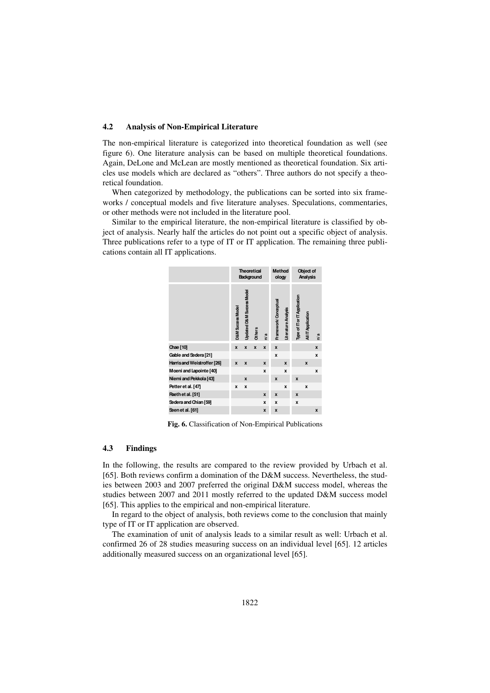#### **4.2 Analysis of Non-Empirical Literature**

The non-empirical literature is categorized into theoretical foundation as well (see figure 6). One literature analysis can be based on multiple theoretical foundations. Again, DeLone and McLean are mostly mentioned as theoretical foundation. Six articles use models which are declared as "others". Three authors do not specify a theoretical foundation.

When categorized by methodology, the publications can be sorted into six frameworks / conceptual models and five literature analyses. Speculations, commentaries, or other methods were not included in the literature pool.

Similar to the empirical literature, the non-empirical literature is classified by object of analysis. Nearly half the articles do not point out a specific object of analysis. Three publications refer to a type of IT or IT application. The remaining three publications contain all IT applications.



**Fig. 6.** Classification of Non-Empirical Publications

### **4.3 Findings**

In the following, the results are compared to the review provided by Urbach et al. [65]. Both reviews confirm a domination of the D&M success. Nevertheless, the studies between 2003 and 2007 preferred the original D&M success model, whereas the studies between 2007 and 2011 mostly referred to the updated D&M success model [65]. This applies to the empirical and non-empirical literature.

In regard to the object of analysis, both reviews come to the conclusion that mainly type of IT or IT application are observed.

The examination of unit of analysis leads to a similar result as well: Urbach et al. confirmed 26 of 28 studies measuring success on an individual level [65]. 12 articles additionally measured success on an organizational level [65].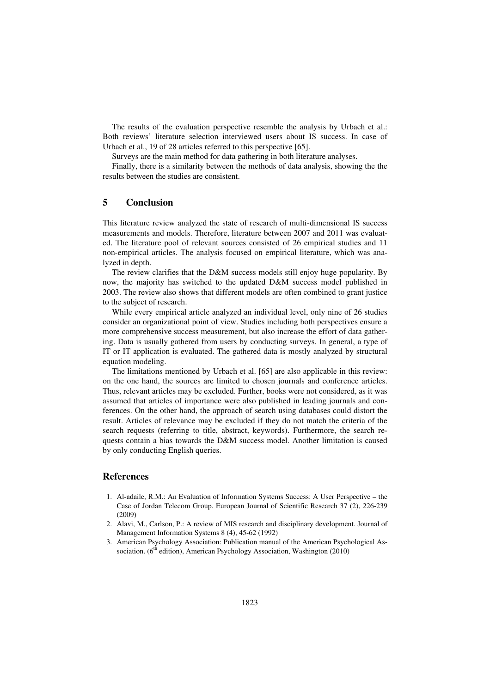The results of the evaluation perspective resemble the analysis by Urbach et al.: Both reviews' literature selection interviewed users about IS success. In case of Urbach et al., 19 of 28 articles referred to this perspective [65].

Surveys are the main method for data gathering in both literature analyses.

Finally, there is a similarity between the methods of data analysis, showing the the results between the studies are consistent.

## **5 Conclusion**

This literature review analyzed the state of research of multi-dimensional IS success measurements and models. Therefore, literature between 2007 and 2011 was evaluated. The literature pool of relevant sources consisted of 26 empirical studies and 11 non-empirical articles. The analysis focused on empirical literature, which was analyzed in depth.

The review clarifies that the D&M success models still enjoy huge popularity. By now, the majority has switched to the updated D&M success model published in 2003. The review also shows that different models are often combined to grant justice to the subject of research.

While every empirical article analyzed an individual level, only nine of 26 studies consider an organizational point of view. Studies including both perspectives ensure a more comprehensive success measurement, but also increase the effort of data gathering. Data is usually gathered from users by conducting surveys. In general, a type of IT or IT application is evaluated. The gathered data is mostly analyzed by structural equation modeling.

The limitations mentioned by Urbach et al. [65] are also applicable in this review: on the one hand, the sources are limited to chosen journals and conference articles. Thus, relevant articles may be excluded. Further, books were not considered, as it was assumed that articles of importance were also published in leading journals and conferences. On the other hand, the approach of search using databases could distort the result. Articles of relevance may be excluded if they do not match the criteria of the search requests (referring to title, abstract, keywords). Furthermore, the search requests contain a bias towards the D&M success model. Another limitation is caused by only conducting English queries.

## **References**

- 1. Al-adaile, R.M.: An Evaluation of Information Systems Success: A User Perspective the Case of Jordan Telecom Group. European Journal of Scientific Research 37 (2), 226-239 (2009)
- 2. Alavi, M., Carlson, P.: A review of MIS research and disciplinary development. Journal of Management Information Systems 8 (4), 45-62 (1992)
- 3. American Psychology Association: Publication manual of the American Psychological Association. (6<sup>th</sup> edition), American Psychology Association, Washington (2010)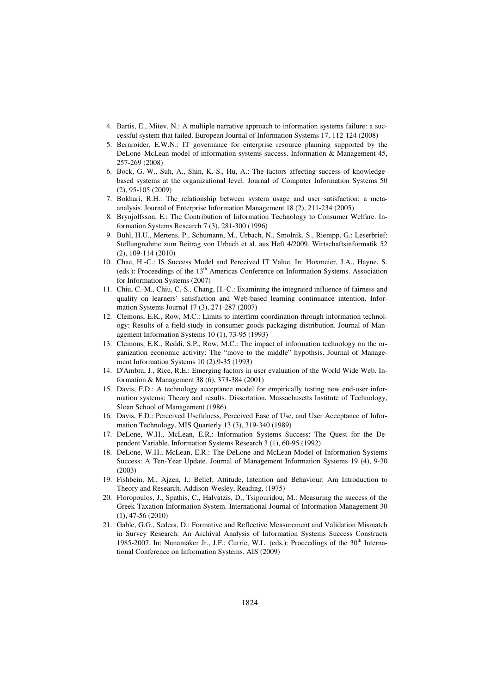- 4. Bartis, E., Mitev, N.: A multiple narrative approach to information systems failure: a successful system that failed. European Journal of Information Systems 17, 112-124 (2008)
- 5. Bernroider, E.W.N.: IT governance for enterprise resource planning supported by the DeLone–McLean model of information systems success. Information & Management 45, 257-269 (2008)
- 6. Bock, G.-W., Suh, A., Shin, K.-S., Hu, A.: The factors affecting success of knowledgebased systems at the organizational level. Journal of Computer Information Systems 50 (2), 95-105 (2009)
- 7. Bokhari, R.H.: The relationship between system usage and user satisfaction: a metaanalysis. Journal of Enterprise Information Management 18 (2), 211-234 (2005)
- 8. Brynjolfsson, E.: The Contribution of Information Technology to Consumer Welfare. Information Systems Research 7 (3), 281-300 (1996)
- 9. Buhl, H.U., Mertens, P., Schumann, M., Urbach, N., Smolnik, S., Riempp, G.: Leserbrief: Stellungnahme zum Beitrag von Urbach et al. aus Heft 4/2009. Wirtschaftsinformatik 52 (2), 109-114 (2010)
- 10. Chae, H.-C.: IS Success Model and Perceived IT Value. In: Hoxmeier, J.A., Hayne, S. (eds.): Proceedings of the 13<sup>th</sup> Americas Conference on Information Systems. Association for Information Systems (2007)
- 11. Chiu, C.-M., Chiu, C.-S., Chang, H.-C.: Examining the integrated influence of fairness and quality on learners' satisfaction and Web-based learning continuance intention. Information Systems Journal 17 (3), 271-287 (2007)
- 12. Clemons, E.K., Row, M.C.: Limits to interfirm coordination through information technology: Results of a field study in consumer goods packaging distribution. Journal of Management Information Systems 10 (1), 73-95 (1993)
- 13. Clemons, E.K., Reddi, S.P., Row, M.C.: The impact of information technology on the organization economic activity: The "move to the middle" hypothsis. Journal of Management Information Systems 10 (2),9-35 (1993)
- 14. D'Ambra, J., Rice, R.E.: Emerging factors in user evaluation of the World Wide Web. Information & Management 38 (6), 373-384 (2001)
- 15. Davis, F.D.: A technology acceptance model for empirically testing new end-user information systems: Theory and results. Dissertation, Massachusetts Institute of Technology, Sloan School of Management (1986)
- 16. Davis, F.D.: Perceived Usefulness, Perceived Ease of Use, and User Acceptance of Information Technology. MIS Quarterly 13 (3), 319-340 (1989)
- 17. DeLone, W.H., McLean, E.R.: Information Systems Success: The Quest for the Dependent Variable. Information Systems Research 3 (1), 60-95 (1992)
- 18. DeLone, W.H., McLean, E.R.: The DeLone and McLean Model of Information Systems Success: A Ten-Year Update. Journal of Management Information Systems 19 (4), 9-30 (2003)
- 19. Fishbein, M., Ajzen, I.: Belief, Attitude, Intention and Behaviour: Am Introduction to Theory and Research. Addison-Wesley, Reading, (1975)
- 20. Floropoulos, J., Spathis, C., Halvatzis, D., Tsipouridou, M.: Measuring the success of the Greek Taxation Information System. International Journal of Information Management 30 (1), 47-56 (2010)
- 21. Gable, G.G., Sedera, D.: Formative and Reflective Measurement and Validation Mismatch in Survey Research: An Archival Analysis of Information Systems Success Constructs 1985-2007. In: Nunamaker Jr., J.F.; Currie, W.L. (eds.): Proceedings of the  $30<sup>th</sup>$  International Conference on Information Systems. AIS (2009)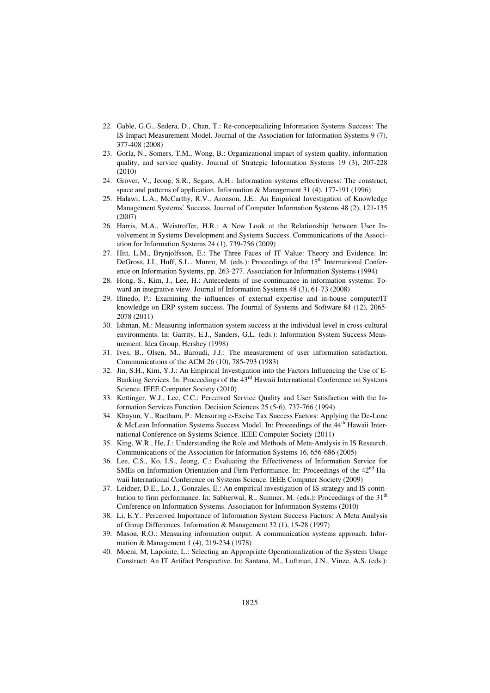- 22. Gable, G.G., Sedera, D., Chan, T.: Re-conceptualizing Information Systems Success: The IS-Impact Measurement Model. Journal of the Association for Information Systems 9 (7), 377-408 (2008)
- 23. Gorla, N., Somers, T.M., Wong, B.: Organizational impact of system quality, information quality, and service quality. Journal of Strategic Information Systems 19 (3), 207-228 (2010)
- 24. Grover, V., Jeong, S.R., Segars, A.H.: Information systems effectiveness: The construct, space and patterns of application. Information & Management 31 (4), 177-191 (1996)
- 25. Halawi, L.A., McCarthy, R.V., Aronson, J.E.: An Empirical Investigation of Knowledge Management Systems' Success. Journal of Computer Information Systems 48 (2), 121-135 (2007)
- 26. Harris, M.A., Weistroffer, H.R.: A New Look at the Relationship between User Involvement in Systems Development and Systems Success. Communications of the Association for Information Systems 24 (1), 739-756 (2009)
- 27. Hitt, L.M., Brynjolfsson, E.: The Three Faces of IT Value: Theory and Evidence. In: DeGross, J.I., Huff, S.L., Munro, M. (eds.): Proceedings of the 15<sup>th</sup> International Conference on Information Systems, pp. 263-277. Association for Information Systems (1994)
- 28. Hong, S., Kim, J., Lee, H.: Antecedents of use-continuance in information systems: Toward an integrative view. Journal of Information Systems 48 (3), 61-73 (2008)
- 29. Ifinedo, P.: Examining the influences of external expertise and in-house computer/IT knowledge on ERP system success. The Journal of Systems and Software 84 (12), 2065- 2078 (2011)
- 30. Ishman, M.: Measuring information system success at the individual level in cross-cultural environments. In: Garrity, E.J., Sanders, G.L. (eds.): Information System Success Measurement. Idea Group, Hershey (1998)
- 31. Ives, B., Olsen, M., Baroudi, J.J.: The measurement of user information satisfaction. Communications of the ACM 26 (10), 785-793 (1983)
- 32. Jin, S.H., Kim, Y.J.: An Empirical Investigation into the Factors Influencing the Use of E-Banking Services. In: Proceedings of the 43rd Hawaii International Conference on Systems Science. IEEE Computer Society (2010)
- 33. Kettinger, W.J., Lee, C.C.: Perceived Service Quality and User Satisfaction with the Information Services Function. Decision Sciences 25 (5-6), 737-766 (1994)
- 34. Khayun, V., Ractham, P.: Measuring e-Excise Tax Success Factors: Applying the De-Lone & McLean Information Systems Success Model. In: Proceedings of the  $44<sup>th</sup>$  Hawaii International Conference on Systems Science. IEEE Computer Society (2011)
- 35. King, W.R., He, J.: Understanding the Role and Methods of Meta-Analysis in IS Research. Communications of the Association for Information Systems 16, 656-686 (2005)
- 36. Lee, C.S., Ko, I.S., Jeong, C.: Evaluating the Effectiveness of Information Service for SMEs on Information Orientation and Firm Performance. In: Proceedings of the 42<sup>nd</sup> Hawaii International Conference on Systems Science. IEEE Computer Society (2009)
- 37. Leidner, D.E., Lo, J., Gonzales, E.: An empirical investigation of IS strategy and IS contribution to firm performance. In: Sabherwal, R., Sumner, M. (eds.): Proceedings of the 31<sup>th</sup> Conference on Information Systems. Association for Information Systems (2010)
- 38. Li, E.Y.: Perceived Importance of Information System Success Factors: A Meta Analysis of Group Differences. Information & Management 32 (1), 15-28 (1997)
- 39. Mason, R.O.: Measuring information output: A communication systems approach. Information & Management 1 (4), 219-234 (1978)
- 40. Moeni, M, Lapointe, L.: Selecting an Appropriate Operationalization of the System Usage Construct: An IT Artifact Perspective. In: Santana, M., Luftman, J.N., Vinze, A.S. (eds.):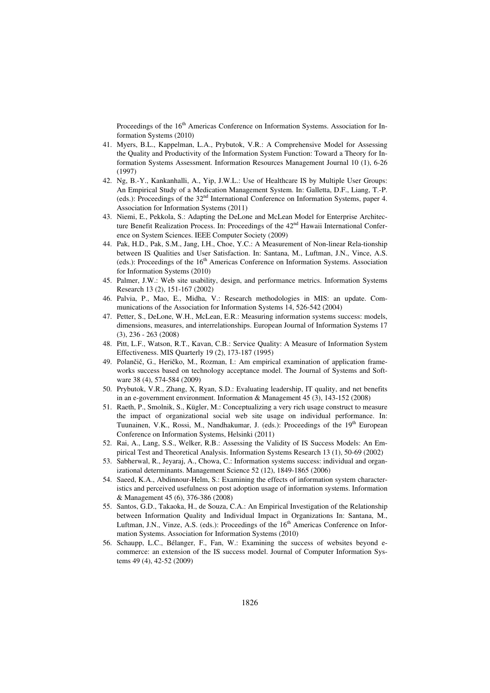Proceedings of the 16<sup>th</sup> Americas Conference on Information Systems. Association for Information Systems (2010)

- 41. Myers, B.L., Kappelman, L.A., Prybutok, V.R.: A Comprehensive Model for Assessing the Quality and Productivity of the Information System Function: Toward a Theory for Information Systems Assessment. Information Resources Management Journal 10 (1), 6-26 (1997)
- 42. Ng, B.-Y., Kankanhalli, A., Yip, J.W.L.: Use of Healthcare IS by Multiple User Groups: An Empirical Study of a Medication Management System. In: Galletta, D.F., Liang, T.-P. (eds.): Proceedings of the 32nd International Conference on Information Systems, paper 4. Association for Information Systems (2011)
- 43. Niemi, E., Pekkola, S.: Adapting the DeLone and McLean Model for Enterprise Architecture Benefit Realization Process. In: Proceedings of the 42nd Hawaii International Conference on System Sciences. IEEE Computer Society (2009)
- 44. Pak, H.D., Pak, S.M., Jang, I.H., Choe, Y.C.: A Measurement of Non-linear Rela-tionship between IS Qualities and User Satisfaction. In: Santana, M., Luftman, J.N., Vince, A.S. (eds.): Proceedings of the  $16<sup>th</sup>$  Americas Conference on Information Systems. Association for Information Systems (2010)
- 45. Palmer, J.W.: Web site usability, design, and performance metrics. Information Systems Research 13 (2), 151-167 (2002)
- 46. Palvia, P., Mao, E., Midha, V.: Research methodologies in MIS: an update. Communications of the Association for Information Systems 14, 526-542 (2004)
- 47. Petter, S., DeLone, W.H., McLean, E.R.: Measuring information systems success: models, dimensions, measures, and interrelationships. European Journal of Information Systems 17 (3), 236 - 263 (2008)
- 48. Pitt, L.F., Watson, R.T., Kavan, C.B.: Service Quality: A Measure of Information System Effectiveness. MIS Quarterly 19 (2), 173-187 (1995)
- 49. Polančič, G., Heričko, M., Rozman, I.: Am empirical examination of application frameworks success based on technology acceptance model. The Journal of Systems and Software 38 (4), 574-584 (2009)
- 50. Prybutok, V.R., Zhang, X, Ryan, S.D.: Evaluating leadership, IT quality, and net benefits in an e-government environment. Information & Management 45 (3), 143-152 (2008)
- 51. Raeth, P., Smolnik, S., Kügler, M.: Conceptualizing a very rich usage construct to measure the impact of organizational social web site usage on individual performance. In: Tuunainen, V.K., Rossi, M., Nandhakumar, J. (eds.): Proceedings of the 19<sup>th</sup> European Conference on Information Systems, Helsinki (2011)
- 52. Rai, A., Lang, S.S., Welker, R.B.: Assessing the Validity of IS Success Models: An Empirical Test and Theoretical Analysis. Information Systems Research 13 (1), 50-69 (2002)
- 53. Sabherwal, R., Jeyaraj, A., Chowa, C.: Information systems success: individual and organizational determinants. Management Science 52 (12), 1849-1865 (2006)
- 54. Saeed, K.A., Abdinnour-Helm, S.: Examining the effects of information system characteristics and perceived usefulness on post adoption usage of information systems. Information & Management 45 (6), 376-386 (2008)
- 55. Santos, G.D., Takaoka, H., de Souza, C.A.: An Empirical Investigation of the Relationship between Information Quality and Individual Impact in Organizations In: Santana, M., Luftman, J.N., Vinze, A.S. (eds.): Proceedings of the 16<sup>th</sup> Americas Conference on Information Systems. Association for Information Systems (2010)
- 56. Schaupp, L.C., Bélanger, F., Fan, W.: Examining the success of websites beyond ecommerce: an extension of the IS success model. Journal of Computer Information Systems 49 (4), 42-52 (2009)